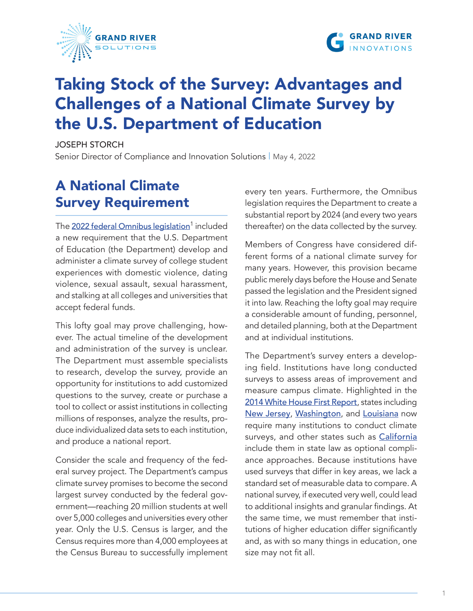



# Taking Stock of the Survey: Advantages and Challenges of a National Climate Survey by the U.S. Department of Education

JOSEPH STORCH

Senior Director of Compliance and Innovation Solutions | May 4, 2022

# A National Climate Survey Requirement

The <u>[2022 federal Omnibus legislation](https://grandriversolutions.com/wp-content/uploads/2022/05/Omnibus-Leg-Excerpt-V2.pdf)</u><sup>1</sup> included a new requirement that the U.S. Department of Education (the Department) develop and administer a climate survey of college student experiences with domestic violence, dating violence, sexual assault, sexual harassment, and stalking at all colleges and universities that accept federal funds.

This lofty goal may prove challenging, however. The actual timeline of the development and administration of the survey is unclear. The Department must assemble specialists to research, develop the survey, provide an opportunity for institutions to add customized questions to the survey, create or purchase a tool to collect or assist institutions in collecting millions of responses, analyze the results, produce individualized data sets to each institution, and produce a national report.

Consider the scale and frequency of the federal survey project. The Department's campus climate survey promises to become the second largest survey conducted by the federal government—reaching 20 million students at well over 5,000 colleges and universities every other year. Only the U.S. Census is larger, and the Census requires more than 4,000 employees at the Census Bureau to successfully implement

every ten years. Furthermore, the Omnibus legislation requires the Department to create a substantial report by 2024 (and every two years thereafter) on the data collected by the survey.

Members of Congress have considered different forms of a national climate survey for many years. However, this provision became public merely days before the House and Senate passed the legislation and the President signed it into law. Reaching the lofty goal may require a considerable amount of funding, personnel, and detailed planning, both at the Department and at individual institutions.

The Department's survey enters a developing field. Institutions have long conducted surveys to assess areas of improvement and measure campus climate. Highlighted in the [2014 White House First Report](https://www.justice.gov/archives/ovw/page/file/905942/download), states including [New Jersey](http://legiscan.com/NJ/text/S2584/id/2214490), [Washington](http://law.justia.com/codes/washington/2020/title-28b/chapter-28b-112/section-28b-112-050/), and [Louisiana](http://legis.la.gov/legis/Law.aspx?d=1148813) now require many institutions to conduct climate surveys, and other states such as [California](http://leginfo.legislature.ca.gov/faces/billTextClient.xhtml?bill_id=201920200SB493) include them in state law as optional compliance approaches. Because institutions have used surveys that differ in key areas, we lack a standard set of measurable data to compare. A national survey, if executed very well, could lead to additional insights and granular findings. At the same time, we must remember that institutions of higher education differ significantly and, as with so many things in education, one size may not fit all.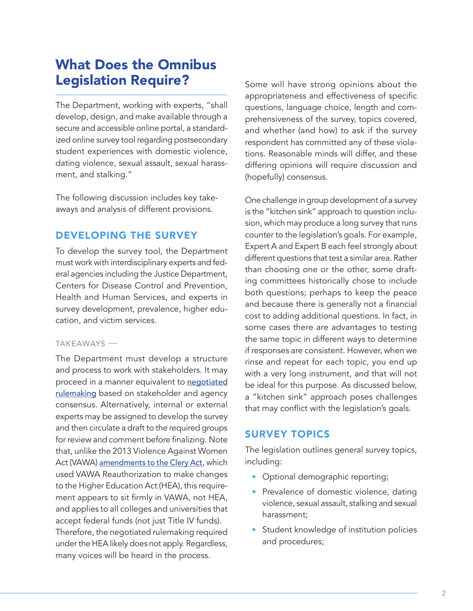# What Does the Omnibus Legislation Require?

The Department, working with experts, "shall develop, design, and make available through a secure and accessible online portal, a standardized online survey tool regarding postsecondary student experiences with domestic violence, dating violence, sexual assault, sexual harassment, and stalking."

The following discussion includes key takeaways and analysis of different provisions.

# DEVELOPING THE SURVEY

To develop the survey tool, the Department must work with interdisciplinary experts and federal agencies including the Justice Department, Centers for Disease Control and Prevention, Health and Human Services, and experts in survey development, prevalence, higher education, and victim services.

#### TAKEAWAYS

The Department must develop a structure and process to work with stakeholders. It may proceed in a manner equivalent to negotiated [rulemaking](https://www2.ed.gov/policy/highered/reg/hearulemaking/2021/index.html?src=rn) based on stakeholder and agency consensus. Alternatively, internal or external experts may be assigned to develop the survey and then circulate a draft to the required groups for review and comment before finalizing. Note that, unlike the 2013 Violence Against Women Act (VAWA) [amendments to the Clery Act](https://higherlogicdownload.s3.amazonaws.com/URMIA/9c74ddba-4acc-4dcd-ba3a-d6cd4c945342/UploadedImages/documents/grac/GRAC_WP_VAWA-Clery_20170530.pdf), which used VAWA Reauthorization to make changes to the Higher Education Act (HEA), this requirement appears to sit firmly in VAWA, not HEA, and applies to all colleges and universities that accept federal funds (not just Title IV funds). Therefore, the negotiated rulemaking required under the HEA likely does not apply. Regardless, many voices will be heard in the process.

Some will have strong opinions about the appropriateness and effectiveness of specific questions, language choice, length and comprehensiveness of the survey, topics covered, and whether (and how) to ask if the survey respondent has committed any of these violations. Reasonable minds will differ, and these differing opinions will require discussion and (hopefully) consensus.

One challenge in group development of a survey is the "kitchen sink" approach to question inclusion, which may produce a long survey that runs counter to the legislation's goals. For example, Expert A and Expert B each feel strongly about different questions that test a similar area. Rather than choosing one or the other, some drafting committees historically chose to include both questions; perhaps to keep the peace and because there is generally not a financial cost to adding additional questions. In fact, in some cases there are advantages to testing the same topic in different ways to determine if responses are consistent. However, when we rinse and repeat for each topic, you end up with a very long instrument, and that will not be ideal for this purpose. As discussed below, a "kitchen sink" approach poses challenges that may conflict with the legislation's goals.

# SURVEY TOPICS

The legislation outlines general survey topics, including:

- Optional demographic reporting;
- Prevalence of domestic violence, dating violence, sexual assault, stalking and sexual harassment;
- Student knowledge of institution policies and procedures;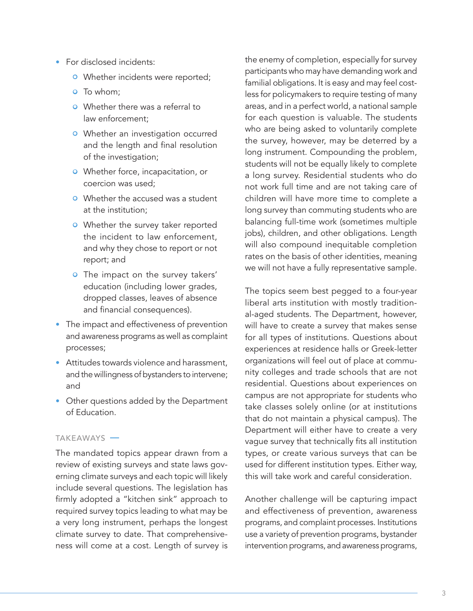- For disclosed incidents:
	- **•** Whether incidents were reported;
	- **o** To whom:
	- Whether there was a referral to law enforcement;
	- **•** Whether an investigation occurred and the length and final resolution of the investigation;
	- Whether force, incapacitation, or coercion was used;
	- **•** Whether the accused was a student at the institution;
	- **•** Whether the survey taker reported the incident to law enforcement, and why they chose to report or not report; and
	- **•** The impact on the survey takers' education (including lower grades, dropped classes, leaves of absence and financial consequences).
- The impact and effectiveness of prevention and awareness programs as well as complaint processes;
- Attitudes towards violence and harassment, and the willingness of bystanders to intervene; and
- Other questions added by the Department of Education.

#### TAKEAWAYS -

The mandated topics appear drawn from a review of existing surveys and state laws governing climate surveys and each topic will likely include several questions. The legislation has firmly adopted a "kitchen sink" approach to required survey topics leading to what may be a very long instrument, perhaps the longest climate survey to date. That comprehensiveness will come at a cost. Length of survey is

the enemy of completion, especially for survey participants who may have demanding work and familial obligations. It is easy and may feel costless for policymakers to require testing of many areas, and in a perfect world, a national sample for each question is valuable. The students who are being asked to voluntarily complete the survey, however, may be deterred by a long instrument. Compounding the problem, students will not be equally likely to complete a long survey. Residential students who do not work full time and are not taking care of children will have more time to complete a long survey than commuting students who are balancing full-time work (sometimes multiple jobs), children, and other obligations. Length will also compound inequitable completion rates on the basis of other identities, meaning we will not have a fully representative sample.

The topics seem best pegged to a four-year liberal arts institution with mostly traditional-aged students. The Department, however, will have to create a survey that makes sense for all types of institutions. Questions about experiences at residence halls or Greek-letter organizations will feel out of place at community colleges and trade schools that are not residential. Questions about experiences on campus are not appropriate for students who take classes solely online (or at institutions that do not maintain a physical campus). The Department will either have to create a very vague survey that technically fits all institution types, or create various surveys that can be used for different institution types. Either way, this will take work and careful consideration.

Another challenge will be capturing impact and effectiveness of prevention, awareness programs, and complaint processes. Institutions use a variety of prevention programs, bystander intervention programs, and awareness programs,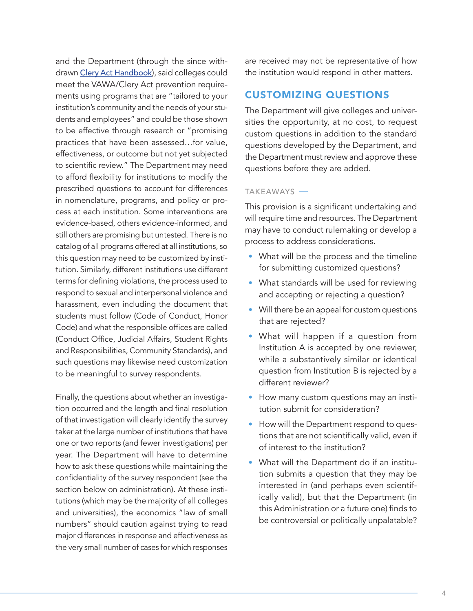and the Department (through the since with-drawn [Clery Act Handbook](https://www2.ed.gov/admins/lead/safety/handbook.pdf)), said colleges could meet the VAWA/Clery Act prevention requirements using programs that are "tailored to your institution's community and the needs of your students and employees" and could be those shown to be effective through research or "promising practices that have been assessed…for value, effectiveness, or outcome but not yet subjected to scientific review." The Department may need to afford flexibility for institutions to modify the prescribed questions to account for differences in nomenclature, programs, and policy or process at each institution. Some interventions are evidence-based, others evidence-informed, and still others are promising but untested. There is no catalog of all programs offered at all institutions, so this question may need to be customized by institution. Similarly, different institutions use different terms for defining violations, the process used to respond to sexual and interpersonal violence and harassment, even including the document that students must follow (Code of Conduct, Honor Code) and what the responsible offices are called (Conduct Office, Judicial Affairs, Student Rights and Responsibilities, Community Standards), and such questions may likewise need customization to be meaningful to survey respondents.

Finally, the questions about whether an investigation occurred and the length and final resolution of that investigation will clearly identify the survey taker at the large number of institutions that have one or two reports (and fewer investigations) per year. The Department will have to determine how to ask these questions while maintaining the confidentiality of the survey respondent (see the section below on administration). At these institutions (which may be the majority of all colleges and universities), the economics "law of small numbers" should caution against trying to read major differences in response and effectiveness as the very small number of cases for which responses

are received may not be representative of how the institution would respond in other matters.

# CUSTOMIZING QUESTIONS

The Department will give colleges and universities the opportunity, at no cost, to request custom questions in addition to the standard questions developed by the Department, and the Department must review and approve these questions before they are added.

#### TAKEAWAYS -

This provision is a significant undertaking and will require time and resources. The Department may have to conduct rulemaking or develop a process to address considerations.

- What will be the process and the timeline for submitting customized questions?
- What standards will be used for reviewing and accepting or rejecting a question?
- Will there be an appeal for custom questions that are rejected?
- What will happen if a question from Institution A is accepted by one reviewer, while a substantively similar or identical question from Institution B is rejected by a different reviewer?
- How many custom questions may an institution submit for consideration?
- How will the Department respond to questions that are not scientifically valid, even if of interest to the institution?
- What will the Department do if an institution submits a question that they may be interested in (and perhaps even scientifically valid), but that the Department (in this Administration or a future one) finds to be controversial or politically unpalatable?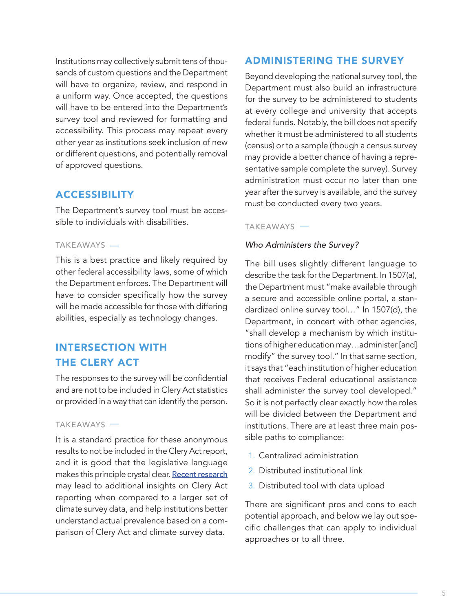Institutions may collectively submit tens of thousands of custom questions and the Department will have to organize, review, and respond in a uniform way. Once accepted, the questions will have to be entered into the Department's survey tool and reviewed for formatting and accessibility. This process may repeat every other year as institutions seek inclusion of new or different questions, and potentially removal of approved questions.

## ACCESSIBILITY

The Department's survey tool must be accessible to individuals with disabilities.

#### TAKEAWAYS

This is a best practice and likely required by other federal accessibility laws, some of which the Department enforces. The Department will have to consider specifically how the survey will be made accessible for those with differing abilities, especially as technology changes.

# INTERSECTION WITH THE CLERY ACT

The responses to the survey will be confidential and are not to be included in Clery Act statistics or provided in a way that can identify the person.

#### TAKEAWAYS

It is a standard practice for these anonymous results to not be included in the Clery Act report, and it is good that the legislative language makes this principle crystal clear. [Recent research](https://journals.sagepub.com/doi/10.1177/10778012221079372) may lead to additional insights on Clery Act reporting when compared to a larger set of climate survey data, and help institutions better understand actual prevalence based on a comparison of Clery Act and climate survey data.

# ADMINISTERING THE SURVEY

Beyond developing the national survey tool, the Department must also build an infrastructure for the survey to be administered to students at every college and university that accepts federal funds. Notably, the bill does not specify whether it must be administered to all students (census) or to a sample (though a census survey may provide a better chance of having a representative sample complete the survey). Survey administration must occur no later than one year after the survey is available, and the survey must be conducted every two years.

#### TAKEAWAYS

#### *Who Administers the Survey?*

The bill uses slightly different language to describe the task for the Department. In 1507(a), the Department must "make available through a secure and accessible online portal, a standardized online survey tool…" In 1507(d), the Department, in concert with other agencies, "shall develop a mechanism by which institutions of higher education may…administer [and] modify" the survey tool." In that same section, it says that "each institution of higher education that receives Federal educational assistance shall administer the survey tool developed." So it is not perfectly clear exactly how the roles will be divided between the Department and institutions. There are at least three main possible paths to compliance:

- 1. Centralized administration
- 2. Distributed institutional link
- 3. Distributed tool with data upload

There are significant pros and cons to each potential approach, and below we lay out specific challenges that can apply to individual approaches or to all three.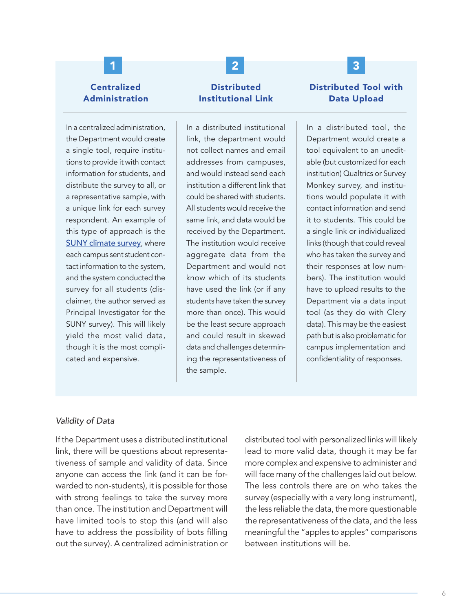# **Centralized** Administration

In a centralized administration, the Department would create a single tool, require institutions to provide it with contact information for students, and distribute the survey to all, or a representative sample, with a unique link for each survey respondent. An example of this type of approach is the **[SUNY climate survey](https://www.suny.edu/climatesurvey/)**, where each campus sent student contact information to the system, and the system conducted the survey for all students (disclaimer, the author served as Principal Investigator for the SUNY survey). This will likely yield the most valid data, though it is the most complicated and expensive.

# **Distributed** Institutional Link

1 2 3

In a distributed institutional link, the department would not collect names and email addresses from campuses, and would instead send each institution a different link that could be shared with students. All students would receive the same link, and data would be received by the Department. The institution would receive aggregate data from the Department and would not know which of its students have used the link (or if any students have taken the survey more than once). This would be the least secure approach and could result in skewed data and challenges determining the representativeness of the sample.

## Distributed Tool with Data Upload

In a distributed tool, the Department would create a tool equivalent to an uneditable (but customized for each institution) Qualtrics or Survey Monkey survey, and institutions would populate it with contact information and send it to students. This could be a single link or individualized links (though that could reveal who has taken the survey and their responses at low numbers). The institution would have to upload results to the Department via a data input tool (as they do with Clery data). This may be the easiest path but is also problematic for campus implementation and confidentiality of responses.

#### *Validity of Data*

If the Department uses a distributed institutional link, there will be questions about representativeness of sample and validity of data. Since anyone can access the link (and it can be forwarded to non-students), it is possible for those with strong feelings to take the survey more than once. The institution and Department will have limited tools to stop this (and will also have to address the possibility of bots filling out the survey). A centralized administration or

distributed tool with personalized links will likely lead to more valid data, though it may be far more complex and expensive to administer and will face many of the challenges laid out below. The less controls there are on who takes the survey (especially with a very long instrument), the less reliable the data, the more questionable the representativeness of the data, and the less meaningful the "apples to apples" comparisons between institutions will be.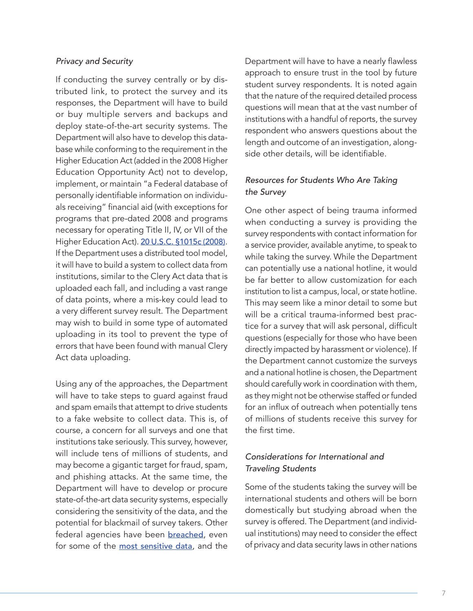#### *Privacy and Security*

If conducting the survey centrally or by distributed link, to protect the survey and its responses, the Department will have to build or buy multiple servers and backups and deploy state-of-the-art security systems. The Department will also have to develop this database while conforming to the requirement in the Higher Education Act (added in the 2008 Higher Education Opportunity Act) not to develop, implement, or maintain "a Federal database of personally identifiable information on individuals receiving" financial aid (with exceptions for programs that pre-dated 2008 and programs necessary for operating Title II, IV, or VII of the Higher Education Act). [20 U.S.C. §1015c \(2008\)](https://www.law.cornell.edu/uscode/text/20/1015c). If the Department uses a distributed tool model, it will have to build a system to collect data from institutions, similar to the Clery Act data that is uploaded each fall, and including a vast range of data points, where a mis-key could lead to a very different survey result. The Department may wish to build in some type of automated uploading in its tool to prevent the type of errors that have been found with manual Clery Act data uploading.

Using any of the approaches, the Department will have to take steps to guard against fraud and spam emails that attempt to drive students to a fake website to collect data. This is, of course, a concern for all surveys and one that institutions take seriously. This survey, however, will include tens of millions of students, and may become a gigantic target for fraud, spam, and phishing attacks. At the same time, the Department will have to develop or procure state-of-the-art data security systems, especially considering the sensitivity of the data, and the potential for blackmail of survey takers. Other federal agencies have been **[breached](https://www.nytimes.com/2020/12/13/us/politics/russian-hackers-us-government-treasury-commerce.html)**, even for some of the [most sensitive data](https://www.opm.gov/cybersecurity/cybersecurity-incidents/), and the

Department will have to have a nearly flawless approach to ensure trust in the tool by future student survey respondents. It is noted again that the nature of the required detailed process questions will mean that at the vast number of institutions with a handful of reports, the survey respondent who answers questions about the length and outcome of an investigation, alongside other details, will be identifiable.

### *Resources for Students Who Are Taking the Survey*

One other aspect of being trauma informed when conducting a survey is providing the survey respondents with contact information for a service provider, available anytime, to speak to while taking the survey. While the Department can potentially use a national hotline, it would be far better to allow customization for each institution to list a campus, local, or state hotline. This may seem like a minor detail to some but will be a critical trauma-informed best practice for a survey that will ask personal, difficult questions (especially for those who have been directly impacted by harassment or violence). If the Department cannot customize the surveys and a national hotline is chosen, the Department should carefully work in coordination with them, as they might not be otherwise staffed or funded for an influx of outreach when potentially tens of millions of students receive this survey for the first time.

### *Considerations for International and Traveling Students*

Some of the students taking the survey will be international students and others will be born domestically but studying abroad when the survey is offered. The Department (and individual institutions) may need to consider the effect of privacy and data security laws in other nations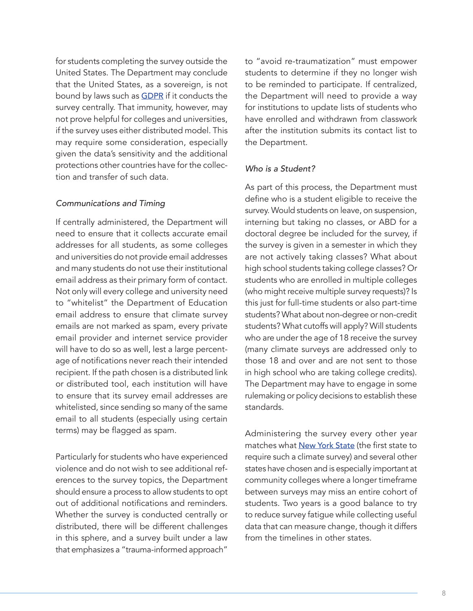for students completing the survey outside the United States. The Department may conclude that the United States, as a sovereign, is not bound by laws such as **[GDPR](https://gdpr-info.eu/)** if it conducts the survey centrally. That immunity, however, may not prove helpful for colleges and universities, if the survey uses either distributed model. This may require some consideration, especially given the data's sensitivity and the additional protections other countries have for the collection and transfer of such data.

#### *Communications and Timing*

If centrally administered, the Department will need to ensure that it collects accurate email addresses for all students, as some colleges and universities do not provide email addresses and many students do not use their institutional email address as their primary form of contact. Not only will every college and university need to "whitelist" the Department of Education email address to ensure that climate survey emails are not marked as spam, every private email provider and internet service provider will have to do so as well, lest a large percentage of notifications never reach their intended recipient. If the path chosen is a distributed link or distributed tool, each institution will have to ensure that its survey email addresses are whitelisted, since sending so many of the same email to all students (especially using certain terms) may be flagged as spam.

Particularly for students who have experienced violence and do not wish to see additional references to the survey topics, the Department should ensure a process to allow students to opt out of additional notifications and reminders. Whether the survey is conducted centrally or distributed, there will be different challenges in this sphere, and a survey built under a law that emphasizes a "trauma-informed approach"

to "avoid re-traumatization" must empower students to determine if they no longer wish to be reminded to participate. If centralized, the Department will need to provide a way for institutions to update lists of students who have enrolled and withdrawn from classwork after the institution submits its contact list to the Department.

#### *Who is a Student?*

As part of this process, the Department must define who is a student eligible to receive the survey. Would students on leave, on suspension, interning but taking no classes, or ABD for a doctoral degree be included for the survey, if the survey is given in a semester in which they are not actively taking classes? What about high school students taking college classes? Or students who are enrolled in multiple colleges (who might receive multiple survey requests)? Is this just for full-time students or also part-time students? What about non-degree or non-credit students? What cutoffs will apply? Will students who are under the age of 18 receive the survey (many climate surveys are addressed only to those 18 and over and are not sent to those in high school who are taking college credits). The Department may have to engage in some rulemaking or policy decisions to establish these standards.

Administering the survey every other year matches what [New York State](http://www.nysed.gov/common/nysed/files/article-129-b-guidance.pdf) (the first state to require such a climate survey) and several other states have chosen and is especially important at community colleges where a longer timeframe between surveys may miss an entire cohort of students. Two years is a good balance to try to reduce survey fatigue while collecting useful data that can measure change, though it differs from the timelines in other states.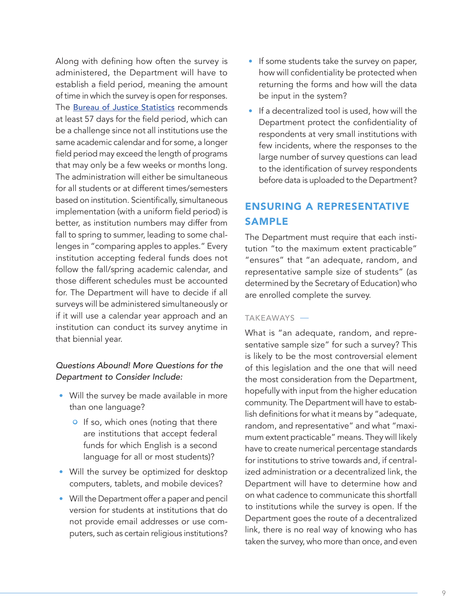Along with defining how often the survey is administered, the Department will have to establish a field period, meaning the amount of time in which the survey is open for responses. The **[Bureau of Justice Statistics](https://bjs.ojp.gov/content/pub/pdf/ccsvsftr.pdf)** recommends at least 57 days for the field period, which can be a challenge since not all institutions use the same academic calendar and for some, a longer field period may exceed the length of programs that may only be a few weeks or months long. The administration will either be simultaneous for all students or at different times/semesters based on institution. Scientifically, simultaneous implementation (with a uniform field period) is better, as institution numbers may differ from fall to spring to summer, leading to some challenges in "comparing apples to apples." Every institution accepting federal funds does not follow the fall/spring academic calendar, and those different schedules must be accounted for. The Department will have to decide if all surveys will be administered simultaneously or if it will use a calendar year approach and an institution can conduct its survey anytime in that biennial year.

### *Questions Abound! More Questions for the Department to Consider Include:*

- Will the survey be made available in more than one language?
	- **•** If so, which ones (noting that there are institutions that accept federal funds for which English is a second language for all or most students)?
- Will the survey be optimized for desktop computers, tablets, and mobile devices?
- Will the Department offer a paper and pencil version for students at institutions that do not provide email addresses or use computers, such as certain religious institutions?
- If some students take the survey on paper, how will confidentiality be protected when returning the forms and how will the data be input in the system?
- If a decentralized tool is used, how will the Department protect the confidentiality of respondents at very small institutions with few incidents, where the responses to the large number of survey questions can lead to the identification of survey respondents before data is uploaded to the Department?

# ENSURING A REPRESENTATIVE SAMPLE

The Department must require that each institution "to the maximum extent practicable" "ensures" that "an adequate, random, and representative sample size of students" (as determined by the Secretary of Education) who are enrolled complete the survey.

#### **TAKEAWAYS**

What is "an adequate, random, and representative sample size" for such a survey? This is likely to be the most controversial element of this legislation and the one that will need the most consideration from the Department, hopefully with input from the higher education community. The Department will have to establish definitions for what it means by "adequate, random, and representative" and what "maximum extent practicable" means. They will likely have to create numerical percentage standards for institutions to strive towards and, if centralized administration or a decentralized link, the Department will have to determine how and on what cadence to communicate this shortfall to institutions while the survey is open. If the Department goes the route of a decentralized link, there is no real way of knowing who has taken the survey, who more than once, and even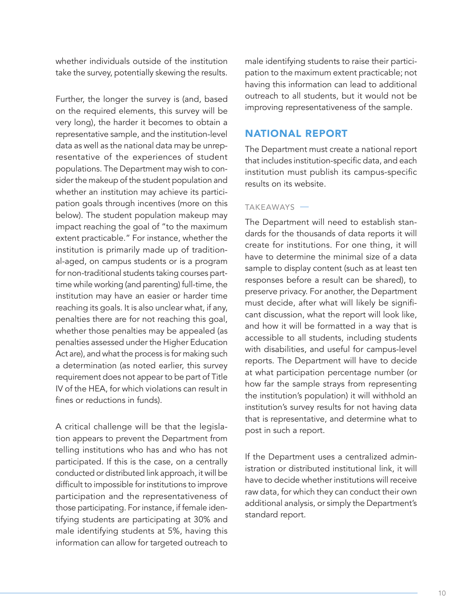whether individuals outside of the institution take the survey, potentially skewing the results.

Further, the longer the survey is (and, based on the required elements, this survey will be very long), the harder it becomes to obtain a representative sample, and the institution-level data as well as the national data may be unrepresentative of the experiences of student populations. The Department may wish to consider the makeup of the student population and whether an institution may achieve its participation goals through incentives (more on this below). The student population makeup may impact reaching the goal of "to the maximum extent practicable." For instance, whether the institution is primarily made up of traditional-aged, on campus students or is a program for non-traditional students taking courses parttime while working (and parenting) full-time, the institution may have an easier or harder time reaching its goals. It is also unclear what, if any, penalties there are for not reaching this goal, whether those penalties may be appealed (as penalties assessed under the Higher Education Act are), and what the process is for making such a determination (as noted earlier, this survey requirement does not appear to be part of Title IV of the HEA, for which violations can result in fines or reductions in funds).

A critical challenge will be that the legislation appears to prevent the Department from telling institutions who has and who has not participated. If this is the case, on a centrally conducted or distributed link approach, it will be difficult to impossible for institutions to improve participation and the representativeness of those participating. For instance, if female identifying students are participating at 30% and male identifying students at 5%, having this information can allow for targeted outreach to male identifying students to raise their participation to the maximum extent practicable; not having this information can lead to additional outreach to all students, but it would not be improving representativeness of the sample.

### NATIONAL REPORT

The Department must create a national report that includes institution-specific data, and each institution must publish its campus-specific results on its website.

#### TAKEAWAYS

The Department will need to establish standards for the thousands of data reports it will create for institutions. For one thing, it will have to determine the minimal size of a data sample to display content (such as at least ten responses before a result can be shared), to preserve privacy. For another, the Department must decide, after what will likely be significant discussion, what the report will look like, and how it will be formatted in a way that is accessible to all students, including students with disabilities, and useful for campus-level reports. The Department will have to decide at what participation percentage number (or how far the sample strays from representing the institution's population) it will withhold an institution's survey results for not having data that is representative, and determine what to post in such a report.

If the Department uses a centralized administration or distributed institutional link, it will have to decide whether institutions will receive raw data, for which they can conduct their own additional analysis, or simply the Department's standard report.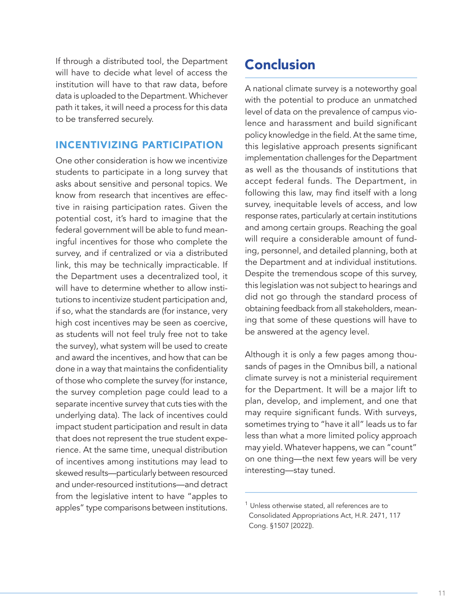If through a distributed tool, the Department will have to decide what level of access the institution will have to that raw data, before data is uploaded to the Department. Whichever path it takes, it will need a process for this data to be transferred securely.

## INCENTIVIZING PARTICIPATION

One other consideration is how we incentivize students to participate in a long survey that asks about sensitive and personal topics. We know from research that incentives are effective in raising participation rates. Given the potential cost, it's hard to imagine that the federal government will be able to fund meaningful incentives for those who complete the survey, and if centralized or via a distributed link, this may be technically impracticable. If the Department uses a decentralized tool, it will have to determine whether to allow institutions to incentivize student participation and, if so, what the standards are (for instance, very high cost incentives may be seen as coercive, as students will not feel truly free not to take the survey), what system will be used to create and award the incentives, and how that can be done in a way that maintains the confidentiality of those who complete the survey (for instance, the survey completion page could lead to a separate incentive survey that cuts ties with the underlying data). The lack of incentives could impact student participation and result in data that does not represent the true student experience. At the same time, unequal distribution of incentives among institutions may lead to skewed results—particularly between resourced and under-resourced institutions—and detract from the legislative intent to have "apples to apples" type comparisons between institutions.

# Conclusion

A national climate survey is a noteworthy goal with the potential to produce an unmatched level of data on the prevalence of campus violence and harassment and build significant policy knowledge in the field. At the same time, this legislative approach presents significant implementation challenges for the Department as well as the thousands of institutions that accept federal funds. The Department, in following this law, may find itself with a long survey, inequitable levels of access, and low response rates, particularly at certain institutions and among certain groups. Reaching the goal will require a considerable amount of funding, personnel, and detailed planning, both at the Department and at individual institutions. Despite the tremendous scope of this survey, this legislation was not subject to hearings and did not go through the standard process of obtaining feedback from all stakeholders, meaning that some of these questions will have to be answered at the agency level.

Although it is only a few pages among thousands of pages in the Omnibus bill, a national climate survey is not a ministerial requirement for the Department. It will be a major lift to plan, develop, and implement, and one that may require significant funds. With surveys, sometimes trying to "have it all" leads us to far less than what a more limited policy approach may yield. Whatever happens, we can "count" on one thing—the next few years will be very interesting—stay tuned.

 $1$  Unless otherwise stated, all references are to Consolidated Appropriations Act, H.R. 2471, 117 Cong. §1507 [2022]).